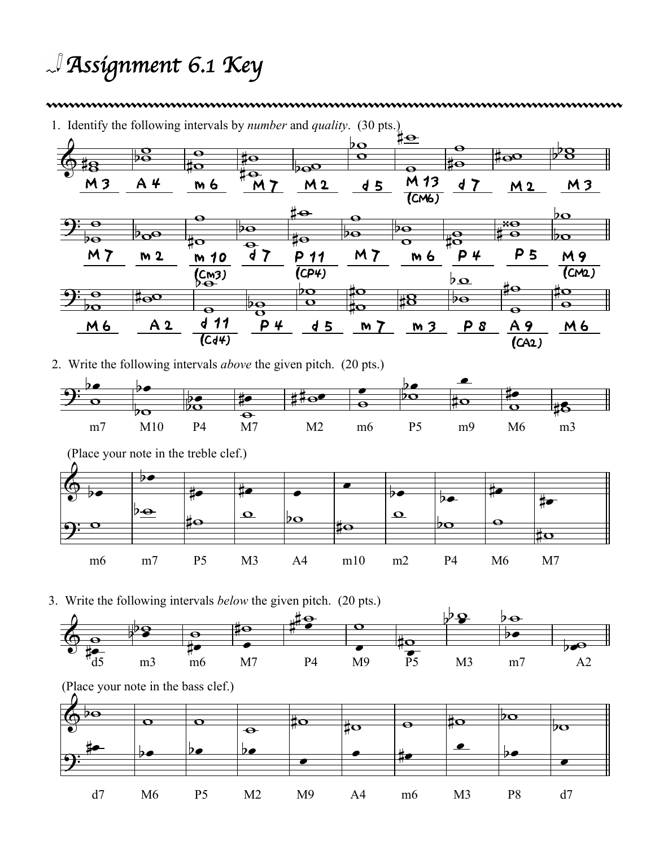## *Assignment 6.1 Key*